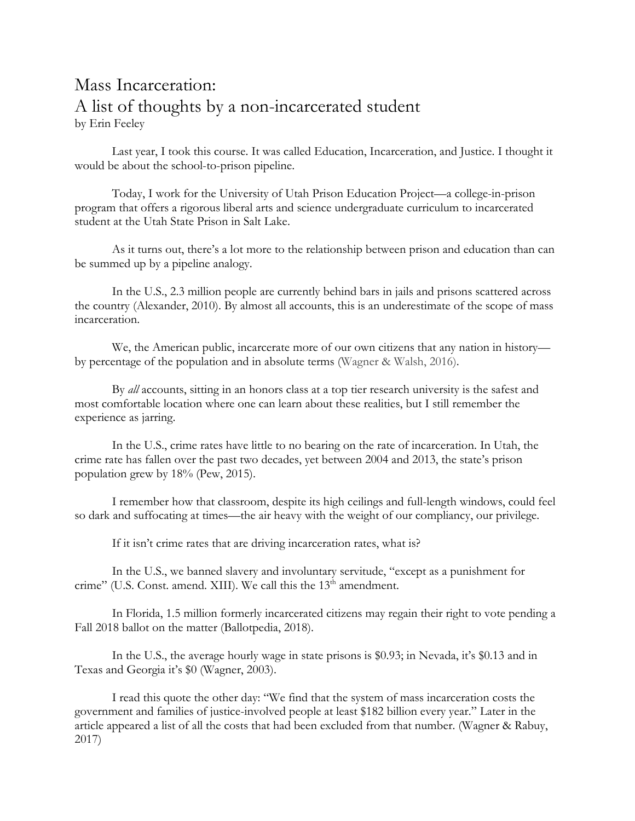## Mass Incarceration: A list of thoughts by a non-incarcerated student by Erin Feeley

Last year, I took this course. It was called Education, Incarceration, and Justice. I thought it would be about the school-to-prison pipeline.

Today, I work for the University of Utah Prison Education Project—a college-in-prison program that offers a rigorous liberal arts and science undergraduate curriculum to incarcerated student at the Utah State Prison in Salt Lake.

As it turns out, there's a lot more to the relationship between prison and education than can be summed up by a pipeline analogy.

In the U.S., 2.3 million people are currently behind bars in jails and prisons scattered across the country (Alexander, 2010). By almost all accounts, this is an underestimate of the scope of mass incarceration.

We, the American public, incarcerate more of our own citizens that any nation in history by percentage of the population and in absolute terms (Wagner & Walsh, 2016).

By *all* accounts, sitting in an honors class at a top tier research university is the safest and most comfortable location where one can learn about these realities, but I still remember the experience as jarring.

In the U.S., crime rates have little to no bearing on the rate of incarceration. In Utah, the crime rate has fallen over the past two decades, yet between 2004 and 2013, the state's prison population grew by 18% (Pew, 2015).

I remember how that classroom, despite its high ceilings and full-length windows, could feel so dark and suffocating at times—the air heavy with the weight of our compliancy, our privilege.

If it isn't crime rates that are driving incarceration rates, what is?

In the U.S., we banned slavery and involuntary servitude, "except as a punishment for crime" (U.S. Const. amend. XIII). We call this the 13<sup>th</sup> amendment.

In Florida, 1.5 million formerly incarcerated citizens may regain their right to vote pending a Fall 2018 ballot on the matter (Ballotpedia, 2018).

In the U.S., the average hourly wage in state prisons is \$0.93; in Nevada, it's \$0.13 and in Texas and Georgia it's \$0 (Wagner, 2003).

I read this quote the other day: "We find that the system of mass incarceration costs the government and families of justice-involved people at least \$182 billion every year." Later in the article appeared a list of all the costs that had been excluded from that number. (Wagner & Rabuy, 2017)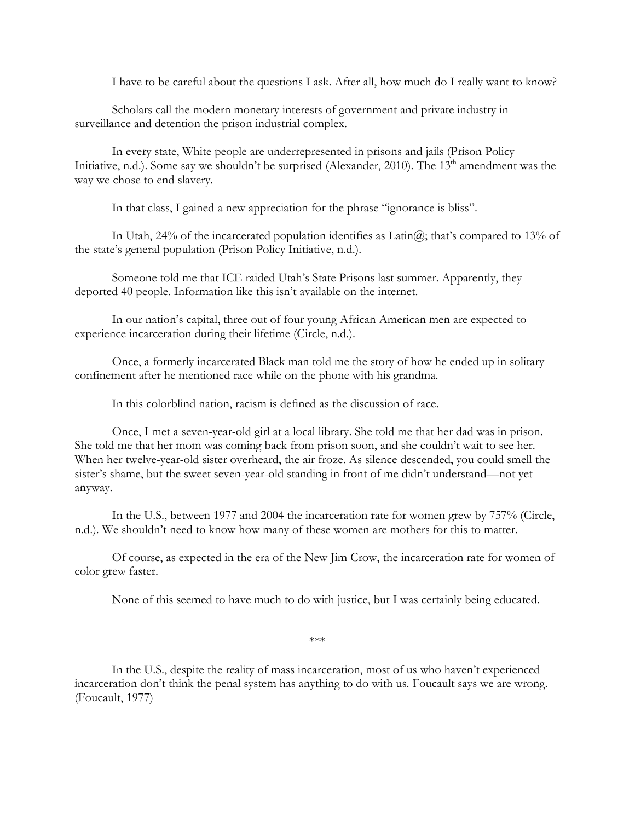I have to be careful about the questions I ask. After all, how much do I really want to know?

Scholars call the modern monetary interests of government and private industry in surveillance and detention the prison industrial complex.

In every state, White people are underrepresented in prisons and jails (Prison Policy Initiative, n.d.). Some say we shouldn't be surprised (Alexander, 2010). The 13<sup>th</sup> amendment was the way we chose to end slavery.

In that class, I gained a new appreciation for the phrase "ignorance is bliss".

In Utah, 24% of the incarcerated population identifies as  $Latin@$ ; that's compared to 13% of the state's general population (Prison Policy Initiative, n.d.).

Someone told me that ICE raided Utah's State Prisons last summer. Apparently, they deported 40 people. Information like this isn't available on the internet.

In our nation's capital, three out of four young African American men are expected to experience incarceration during their lifetime (Circle, n.d.).

Once, a formerly incarcerated Black man told me the story of how he ended up in solitary confinement after he mentioned race while on the phone with his grandma.

In this colorblind nation, racism is defined as the discussion of race.

Once, I met a seven-year-old girl at a local library. She told me that her dad was in prison. She told me that her mom was coming back from prison soon, and she couldn't wait to see her. When her twelve-year-old sister overheard, the air froze. As silence descended, you could smell the sister's shame, but the sweet seven-year-old standing in front of me didn't understand—not yet anyway.

In the U.S., between 1977 and 2004 the incarceration rate for women grew by 757% (Circle, n.d.). We shouldn't need to know how many of these women are mothers for this to matter.

Of course, as expected in the era of the New Jim Crow, the incarceration rate for women of color grew faster.

None of this seemed to have much to do with justice, but I was certainly being educated.

\*\*\*

In the U.S., despite the reality of mass incarceration, most of us who haven't experienced incarceration don't think the penal system has anything to do with us. Foucault says we are wrong. (Foucault, 1977)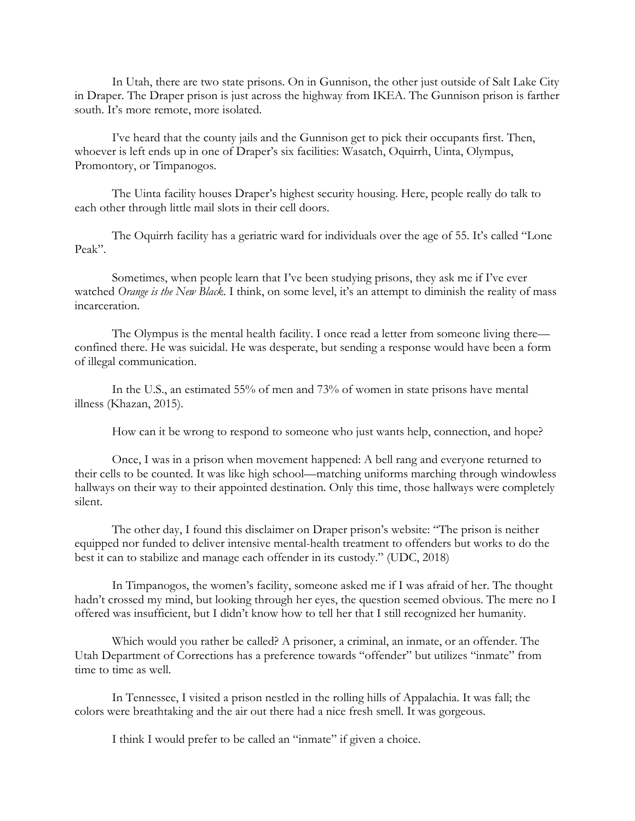In Utah, there are two state prisons. On in Gunnison, the other just outside of Salt Lake City in Draper. The Draper prison is just across the highway from IKEA. The Gunnison prison is farther south. It's more remote, more isolated.

I've heard that the county jails and the Gunnison get to pick their occupants first. Then, whoever is left ends up in one of Draper's six facilities: Wasatch, Oquirrh, Uinta, Olympus, Promontory, or Timpanogos.

The Uinta facility houses Draper's highest security housing. Here, people really do talk to each other through little mail slots in their cell doors.

The Oquirrh facility has a geriatric ward for individuals over the age of 55. It's called "Lone Peak".

Sometimes, when people learn that I've been studying prisons, they ask me if I've ever watched *Orange is the New Black*. I think, on some level, it's an attempt to diminish the reality of mass incarceration.

The Olympus is the mental health facility. I once read a letter from someone living there confined there. He was suicidal. He was desperate, but sending a response would have been a form of illegal communication.

In the U.S., an estimated 55% of men and 73% of women in state prisons have mental illness (Khazan, 2015).

How can it be wrong to respond to someone who just wants help, connection, and hope?

Once, I was in a prison when movement happened: A bell rang and everyone returned to their cells to be counted. It was like high school—matching uniforms marching through windowless hallways on their way to their appointed destination. Only this time, those hallways were completely silent.

The other day, I found this disclaimer on Draper prison's website: "The prison is neither equipped nor funded to deliver intensive mental-health treatment to offenders but works to do the best it can to stabilize and manage each offender in its custody." (UDC, 2018)

In Timpanogos, the women's facility, someone asked me if I was afraid of her. The thought hadn't crossed my mind, but looking through her eyes, the question seemed obvious. The mere no I offered was insufficient, but I didn't know how to tell her that I still recognized her humanity.

Which would you rather be called? A prisoner, a criminal, an inmate, or an offender. The Utah Department of Corrections has a preference towards "offender" but utilizes "inmate" from time to time as well.

In Tennessee, I visited a prison nestled in the rolling hills of Appalachia. It was fall; the colors were breathtaking and the air out there had a nice fresh smell. It was gorgeous.

I think I would prefer to be called an "inmate" if given a choice.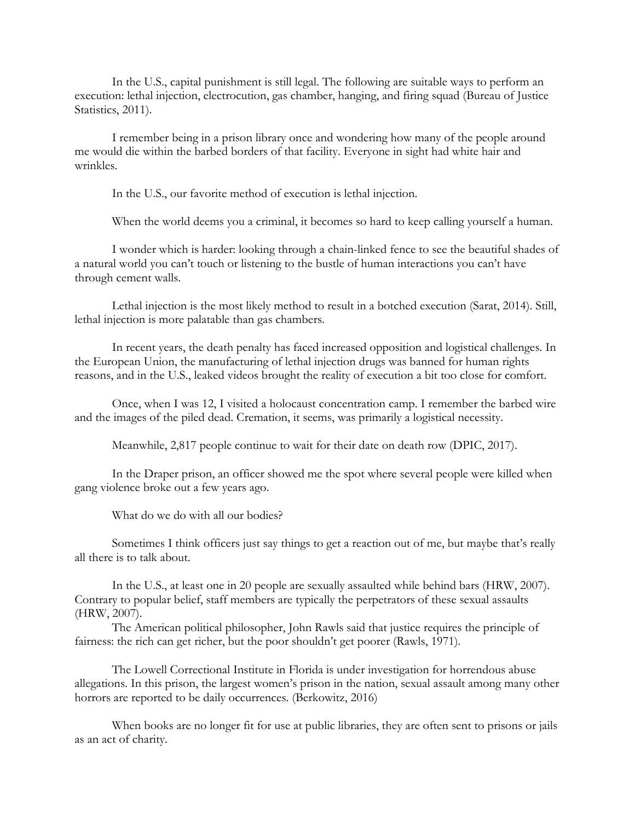In the U.S., capital punishment is still legal. The following are suitable ways to perform an execution: lethal injection, electrocution, gas chamber, hanging, and firing squad (Bureau of Justice Statistics, 2011).

I remember being in a prison library once and wondering how many of the people around me would die within the barbed borders of that facility. Everyone in sight had white hair and wrinkles.

In the U.S., our favorite method of execution is lethal injection.

When the world deems you a criminal, it becomes so hard to keep calling yourself a human.

I wonder which is harder: looking through a chain-linked fence to see the beautiful shades of a natural world you can't touch or listening to the bustle of human interactions you can't have through cement walls.

Lethal injection is the most likely method to result in a botched execution (Sarat, 2014). Still, lethal injection is more palatable than gas chambers.

In recent years, the death penalty has faced increased opposition and logistical challenges. In the European Union, the manufacturing of lethal injection drugs was banned for human rights reasons, and in the U.S., leaked videos brought the reality of execution a bit too close for comfort.

Once, when I was 12, I visited a holocaust concentration camp. I remember the barbed wire and the images of the piled dead. Cremation, it seems, was primarily a logistical necessity.

Meanwhile, 2,817 people continue to wait for their date on death row (DPIC, 2017).

In the Draper prison, an officer showed me the spot where several people were killed when gang violence broke out a few years ago.

What do we do with all our bodies?

Sometimes I think officers just say things to get a reaction out of me, but maybe that's really all there is to talk about.

In the U.S., at least one in 20 people are sexually assaulted while behind bars (HRW, 2007). Contrary to popular belief, staff members are typically the perpetrators of these sexual assaults (HRW, 2007).

The American political philosopher, John Rawls said that justice requires the principle of fairness: the rich can get richer, but the poor shouldn't get poorer (Rawls, 1971).

The Lowell Correctional Institute in Florida is under investigation for horrendous abuse allegations. In this prison, the largest women's prison in the nation, sexual assault among many other horrors are reported to be daily occurrences. (Berkowitz, 2016)

When books are no longer fit for use at public libraries, they are often sent to prisons or jails as an act of charity.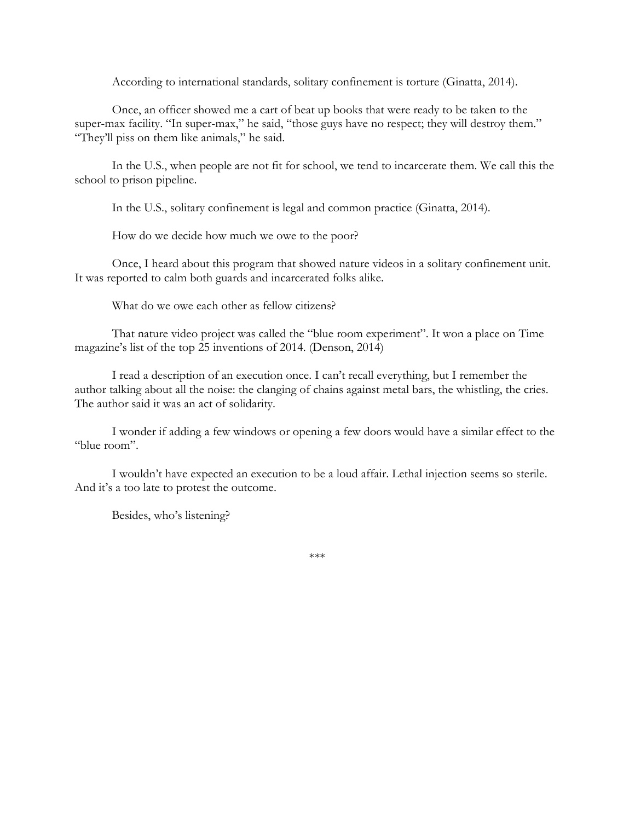According to international standards, solitary confinement is torture (Ginatta, 2014).

Once, an officer showed me a cart of beat up books that were ready to be taken to the super-max facility. "In super-max," he said, "those guys have no respect; they will destroy them." "They'll piss on them like animals," he said.

In the U.S., when people are not fit for school, we tend to incarcerate them. We call this the school to prison pipeline.

In the U.S., solitary confinement is legal and common practice (Ginatta, 2014).

How do we decide how much we owe to the poor?

Once, I heard about this program that showed nature videos in a solitary confinement unit. It was reported to calm both guards and incarcerated folks alike.

What do we owe each other as fellow citizens?

That nature video project was called the "blue room experiment". It won a place on Time magazine's list of the top 25 inventions of 2014. (Denson, 2014)

I read a description of an execution once. I can't recall everything, but I remember the author talking about all the noise: the clanging of chains against metal bars, the whistling, the cries. The author said it was an act of solidarity.

I wonder if adding a few windows or opening a few doors would have a similar effect to the "blue room".

I wouldn't have expected an execution to be a loud affair. Lethal injection seems so sterile. And it's a too late to protest the outcome.

Besides, who's listening?

\*\*\*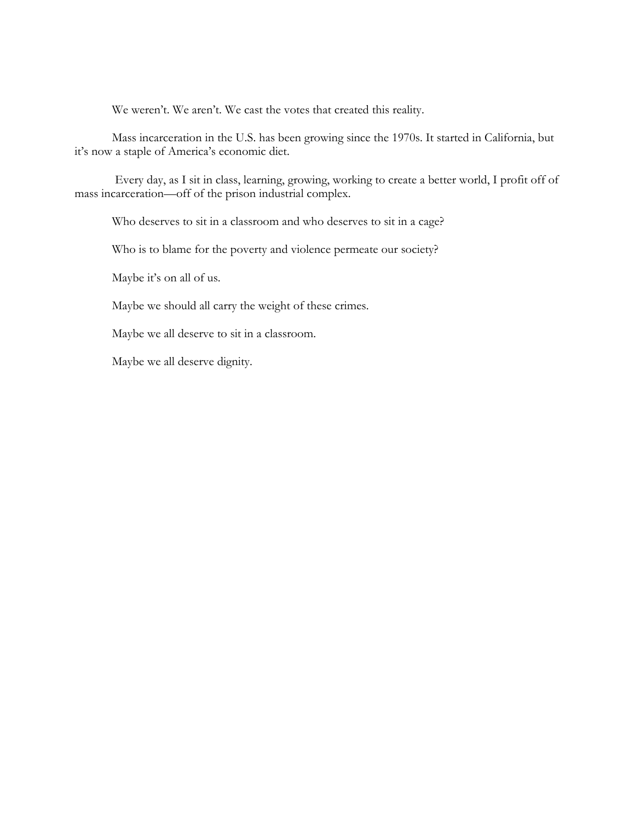We weren't. We aren't. We cast the votes that created this reality.

Mass incarceration in the U.S. has been growing since the 1970s. It started in California, but it's now a staple of America's economic diet.

Every day, as I sit in class, learning, growing, working to create a better world, I profit off of mass incarceration—off of the prison industrial complex.

Who deserves to sit in a classroom and who deserves to sit in a cage?

Who is to blame for the poverty and violence permeate our society?

Maybe it's on all of us.

Maybe we should all carry the weight of these crimes.

Maybe we all deserve to sit in a classroom.

Maybe we all deserve dignity.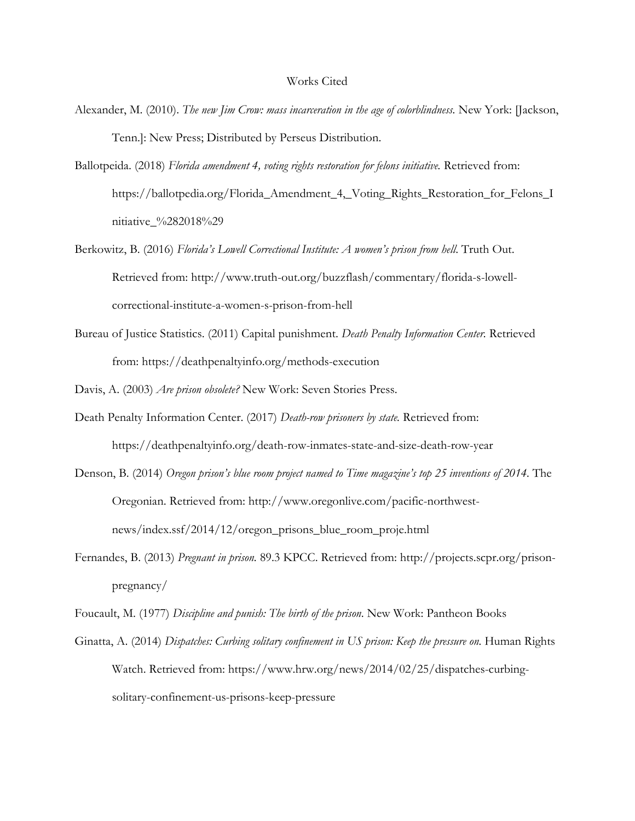## Works Cited

- Alexander, M. (2010). *The new Jim Crow: mass incarceration in the age of colorblindness.* New York: [Jackson, Tenn.]: New Press; Distributed by Perseus Distribution.
- Ballotpeida. (2018) *Florida amendment 4, voting rights restoration for felons initiative*. Retrieved from: https://ballotpedia.org/Florida\_Amendment\_4,\_Voting\_Rights\_Restoration\_for\_Felons\_I nitiative\_%282018%29
- Berkowitz, B. (2016) *Florida's Lowell Correctional Institute: A women's prison from hell*. Truth Out. Retrieved from: [http://www.truth-out.org/buzzflash/commentary/florida-s-lowell](http://www.truth-out.org/buzzflash/commentary/florida-s-lowell-correctional-institute-a-women-s-prison-from-hell)[correctional-institute-a-women-s-prison-from-hell](http://www.truth-out.org/buzzflash/commentary/florida-s-lowell-correctional-institute-a-women-s-prison-from-hell)
- Bureau of Justice Statistics. (2011) Capital punishment. *Death Penalty Information Center.* Retrieved from:<https://deathpenaltyinfo.org/methods-execution>
- Davis, A. (2003) *Are prison obsolete?* New Work: Seven Stories Press.
- Death Penalty Information Center. (2017) *Death-row prisoners by state.* Retrieved from: <https://deathpenaltyinfo.org/death-row-inmates-state-and-size-death-row-year>
- Denson, B. (2014) *Oregon prison's blue room project named to Time magazine's top 25 inventions of 2014*. The Oregonian. Retrieved from: [http://www.oregonlive.com/pacific-northwest](http://www.oregonlive.com/pacific-northwest-news/index.ssf/2014/12/oregon_prisons_blue_room_proje.html)[news/index.ssf/2014/12/oregon\\_prisons\\_blue\\_room\\_proje.html](http://www.oregonlive.com/pacific-northwest-news/index.ssf/2014/12/oregon_prisons_blue_room_proje.html)
- Fernandes, B. (2013) *Pregnant in prison.* 89.3 KPCC. Retrieved from: [http://projects.scpr.org/prison](http://projects.scpr.org/prison-pregnancy/)[pregnancy/](http://projects.scpr.org/prison-pregnancy/)
- Foucault, M. (1977) *Discipline and punish: The birth of the prison*. New Work: Pantheon Books
- Ginatta, A. (2014) *Dispatches: Curbing solitary confinement in US prison: Keep the pressure on*. Human Rights Watch. Retrieved from: [https://www.hrw.org/news/2014/02/25/dispatches-curbing](https://www.hrw.org/news/2014/02/25/dispatches-curbing-solitary-confinement-us-prisons-keep-pressure)[solitary-confinement-us-prisons-keep-pressure](https://www.hrw.org/news/2014/02/25/dispatches-curbing-solitary-confinement-us-prisons-keep-pressure)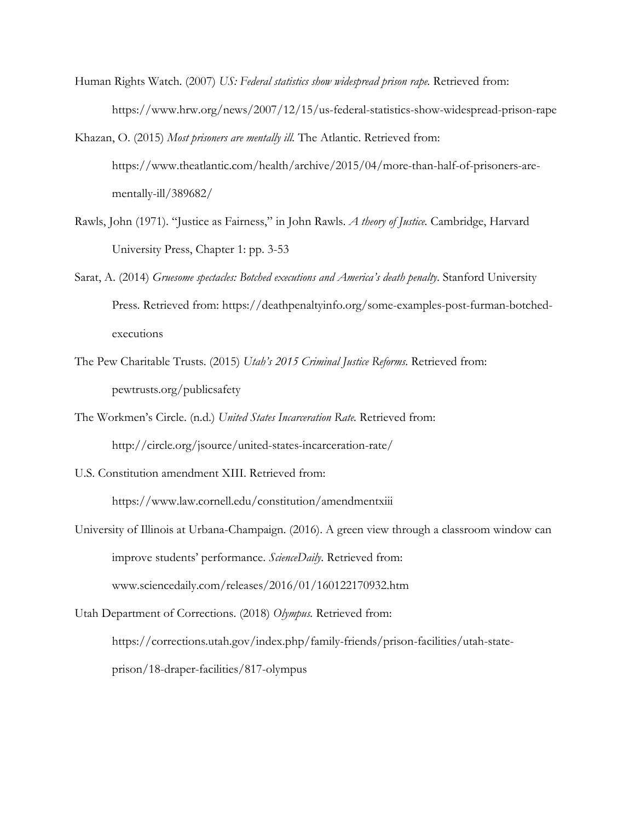- Human Rights Watch. (2007) *US: Federal statistics show widespread prison rape.* Retrieved from: <https://www.hrw.org/news/2007/12/15/us-federal-statistics-show-widespread-prison-rape>
- Khazan, O. (2015) *Most prisoners are mentally ill.* The Atlantic. Retrieved from: [https://www.theatlantic.com/health/archive/2015/04/more-than-half-of-prisoners-are](https://www.theatlantic.com/health/archive/2015/04/more-than-half-of-prisoners-are-mentally-ill/389682/)[mentally-ill/389682/](https://www.theatlantic.com/health/archive/2015/04/more-than-half-of-prisoners-are-mentally-ill/389682/)
- Rawls, John (1971). "Justice as Fairness," in John Rawls. *A theory of Justice.* Cambridge, Harvard University Press, Chapter 1: pp. 3-53
- Sarat, A. (2014) *Gruesome spectacles: Botched executions and America's death penalty*. Stanford University Press. Retrieved from: [https://deathpenaltyinfo.org/some-examples-post-furman-botched](https://deathpenaltyinfo.org/some-examples-post-furman-botched-executions)[executions](https://deathpenaltyinfo.org/some-examples-post-furman-botched-executions)
- The Pew Charitable Trusts. (2015) *Utah's 2015 Criminal Justice Reforms*. Retrieved from: pewtrusts.org/publicsafety
- The Workmen's Circle. (n.d.) *United States Incarceration Rate.* Retrieved from: <http://circle.org/jsource/united-states-incarceration-rate/>
- U.S. Constitution amendment XIII. Retrieved from: <https://www.law.cornell.edu/constitution/amendmentxiii>
- University of Illinois at Urbana-Champaign. (2016). A green view through a classroom window can improve students' performance. *ScienceDaily*. Retrieved from: www.sciencedaily.com/releases/2016/01/160122170932.htm

Utah Department of Corrections. (2018) *Olympus.* Retrieved from: [https://corrections.utah.gov/index.php/family-friends/prison-facilities/utah-state](https://corrections.utah.gov/index.php/family-friends/prison-facilities/utah-state-prison/18-draper-facilities/817-olympus)[prison/18-draper-facilities/817-olympus](https://corrections.utah.gov/index.php/family-friends/prison-facilities/utah-state-prison/18-draper-facilities/817-olympus)